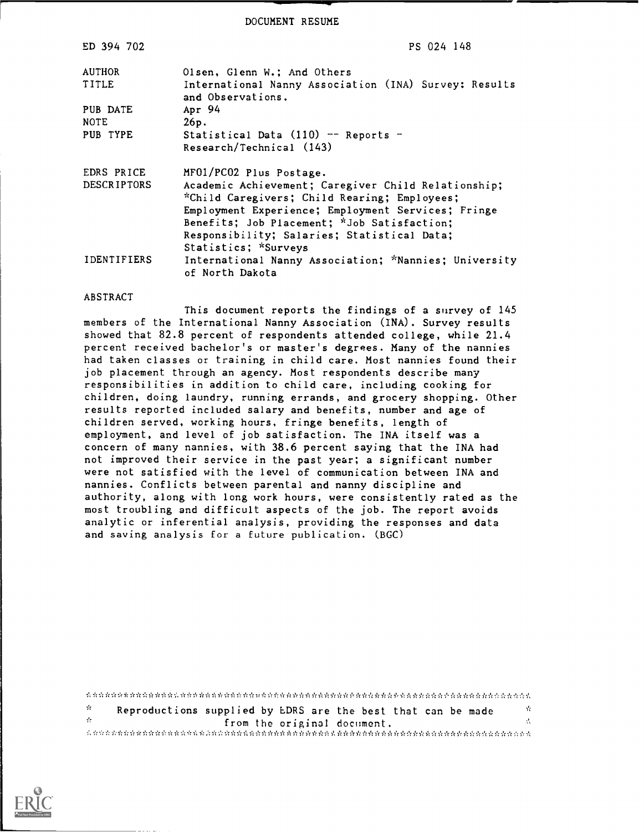DOCUMENT RESUME

| ED 394 702         | PS 024 148                                                                 |
|--------------------|----------------------------------------------------------------------------|
| <b>AUTHOR</b>      | Olsen, Glenn W.: And Others                                                |
| TITLE              | International Nanny Association (INA) Survey: Results<br>and Observations. |
| PUB DATE           | Apr 94                                                                     |
| <b>NOTE</b>        | 26p.                                                                       |
| PUB TYPE           | Statistical Data $(110)$ -- Reports -                                      |
|                    | Research/Technical (143)                                                   |
| EDRS PRICE         | MF01/PC02 Plus Postage.                                                    |
| <b>DESCRIPTORS</b> | Academic Achievement; Caregiver Child Relationship;                        |
|                    | *Child Caregivers; Child Rearing; Employees;                               |
|                    | Employment Experience; Employment Services; Fringe                         |
|                    | Benefits; Job Placement; *Job Satisfaction;                                |
|                    | Responsibility; Salaries; Statistical Data;                                |
|                    | Statistics; *Surveys                                                       |
| <b>IDENTIFIERS</b> | International Nanny Association; *Nannies; University<br>of North Dakota   |

#### ABSTRACT

This document reports the findings of a survey of 145 members of the International Nanny Association (INA). Survey results showed that 82.8 percent of respondents attended college, while 21.4 percent received bachelor's or master's degrees. Many of the nannies had taken classes or training in child care. Most nannies found their job placement through an agency. Most respondents describe many responsibilities in addition to child care, including cooking for children, doing laundry, running errands, and grocery shopping. Other results reported included salary and benefits, number and age of children served, working hours, fringe benefits, length of employment, and level of job satisfaction. The INA itself was a concern of many nannies, with 38.6 percent saying that the INA had not improved their service in the past year; a significant number were not satisfied with the level of communication between INA and nannies. Conflicts between parental and nanny discipline and authority, along with long work hours, were consistently rated as the most troubling and difficult aspects of the job. The report avoids analytic or inferential analysis, providing the responses and data and saving analysis for a future publication. (BGC)

| 25       | Reproductions supplied by LDRS are the best that can be made | nit. |
|----------|--------------------------------------------------------------|------|
| المواليد | from the original document.                                  |      |
|          |                                                              |      |

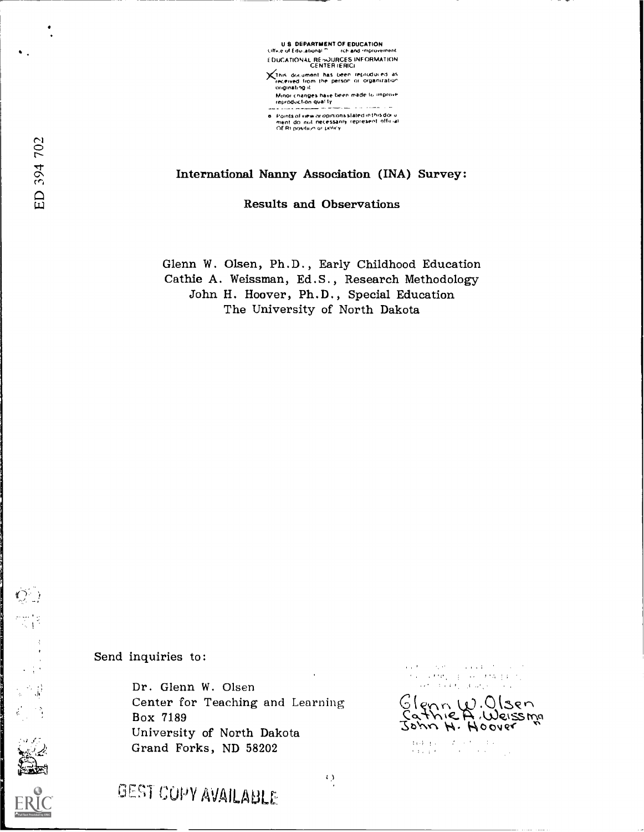

International Nanny Association (INA) Survey:

Results and Observations

Glenn W. Olsen, Ph.D., Early Childhood Education Cathie A. Weissman, Ed.S., Research Methodology John H. Hoover, Ph.D., Special Education The University of North Dakota

Send inquiries to:

Dr. Glenn W. Olsen Center for Teaching and Learning Box 7189 University of North Dakota Grand Forks, ND 58202

 $\begin{split} \mathcal{O}(2^3) & = 2\sqrt{2} \left( \frac{1}{2} \right) + \mathcal{O}(2^3) + \mathcal{O}(2^3) + \mathcal{O}(2^3) \end{split}$  $\alpha$  , and  $\alpha$  , and  $\alpha$ 

Sienn W. Visen<br>Cathic A. Weissma  $20\mu v$  H. Hoover

 $\begin{array}{l} \displaystyle \left\{ \left( \left( \mathbf{d} \cdot \mathbf{g} \right) \right) \right\} = \left( \left( \mathbf{f} \cdot \mathbf{g} \right) \right) \left( \left( \mathbf{f} \cdot \mathbf{g} \right) \right) \\ \displaystyle \left( \left( \left( \mathbf{f} \right) \right) \right) \left( \mathbf{g} \right) \left( \left( \mathbf{f} \right) \right) \left( \left( \left( \mathbf{f} \right) \right) \right) \right) \left( \left( \mathbf{f} \right) \right) \left( \left( \mathbf{f} \right) \right) \right$ 

 $\mathcal{O}^{\mathbb{C}}$  )

 $\begin{pmatrix} 1 & 1 \\ 0 & 1 \end{pmatrix}$ 

 $\hat{\phi}_{\text{max}}^{(i)} = \frac{1}{2} \hat{\phi}_{\text{max}}^{(i)}$ 

GEST COPY AVAILABLE

 $\left\langle \cdot \right\rangle$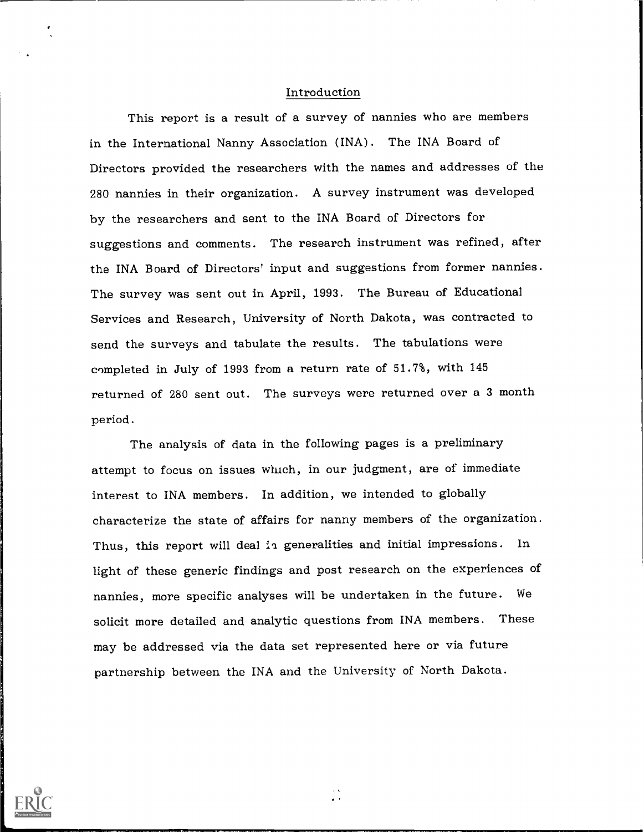#### Introduction

This report is a result of a survey of nannies who are members in the International Nanny Association (INA). The INA Board of Directors provided the researchers with the names and addresses of the 280 nannies in their organization. A survey instrument was developed by the researchers and sent to the INA Board of Directors for suggestions and comments. The research instrument was refined, after the INA Board of Directors' input and suggestions from former nannies. The survey was sent out in April, 1993. The Bureau of Educational Services and Research, University of North Dakota, was contracted to send the surveys and tabulate the results. The tabulations were completed in July of 1993 from a return rate of 51.7%, with 145 returned of 280 sent out. The surveys were returned over a 3 month period.

The analysis of data in the following pages is a preliminary attempt to focus on issues which, in our judgment, are of immediate interest to INA members. In addition, we intended to globally characterize the state of affairs for nanny members of the organization. Thus, this report will deal in generalities and initial impressions. In light of these generic findings and post research on the experiences of nannies, more specific analyses will be undertaken in the future. We solicit more detailed and analytic questions from INA members. These may be addressed via the data set represented here or via future partnership between the INA and the University of North Dakota.

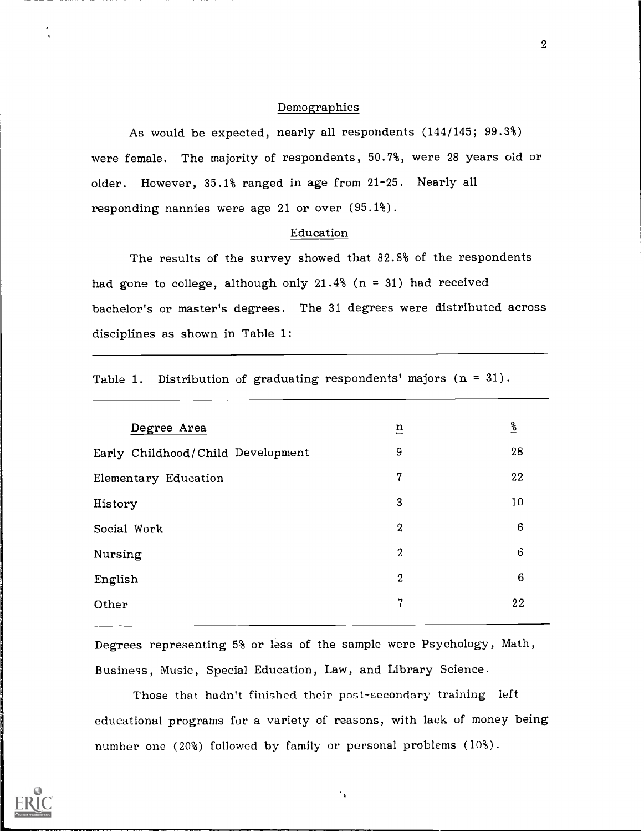#### Demographics

As would be expected, nearly all respondents (144/145; 99.3%) were female. The majority of respondents, 50.7%, were <sup>28</sup> years old or older. However, 35.1% ranged in age from 21-25. Nearly all responding nannies were age 21 or over (95.1%).

## Education

The results of the survey showed that 82.8% of the respondents had gone to college, although only  $21.4%$  (n = 31) had received bachelor's or master's degrees. The 31 degrees were distributed across disciplines as shown in Table 1:

|  |  |  |  | Table 1. Distribution of graduating respondents' majors $(n = 31)$ . |  |  |  |  |  |
|--|--|--|--|----------------------------------------------------------------------|--|--|--|--|--|
|--|--|--|--|----------------------------------------------------------------------|--|--|--|--|--|

| Degree Area                       | $\underline{n}$  | $\frac{6}{6}$ |
|-----------------------------------|------------------|---------------|
| Early Childhood/Child Development | 9                | 28            |
| Elementary Education              | 7                | 22            |
| History                           | $\boldsymbol{3}$ | 10            |
| Social Work                       | $\boldsymbol{2}$ | 6             |
| Nursing                           | $\boldsymbol{2}$ | 6             |
| English                           | $\overline{2}$   | 6             |
| Other                             | 7                | 22            |
|                                   |                  |               |

Degrees representing 5% or less of the sample were Psychology, Math, Business, Music, Special Education, Law, and Library Science.

Those that hadn't finished their post-secondary training left educational programs for a variety of reasons, with lack of money being number one (20%) followed by family or personal problems (10%).

 $^\star$   $^\star$ 

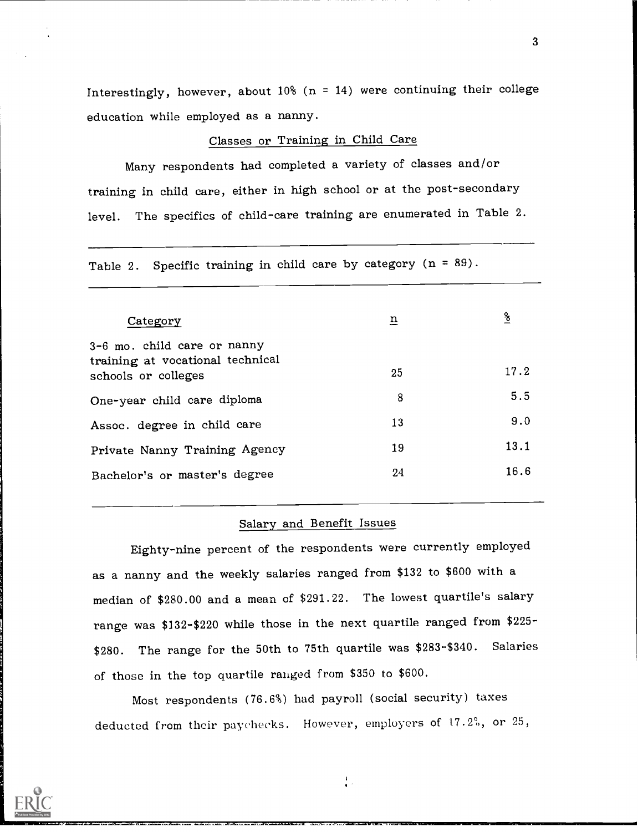Interestingly, however, about 10% ( $n = 14$ ) were continuing their college education while employed as a nanny.

## Classes or Training in Child Care

Many respondents had completed a variety of classes and/or training in child care, either in high school or at the post-secondary level. The specifics of child-care training are enumerated in Table 2.

Table 2. Specific training in child care by category  $(n = 89)$ .

| Category                                                                               | $\overline{\mathbf{n}}$ | $\frac{6}{5}$ |  |
|----------------------------------------------------------------------------------------|-------------------------|---------------|--|
| 3-6 mo. child care or nanny<br>training at vocational technical<br>schools or colleges | 25                      | 17.2          |  |
| One-year child care diploma                                                            | 8                       | 5.5           |  |
| Assoc. degree in child care                                                            | 13                      | 9.0           |  |
| Private Nanny Training Agency                                                          | 19                      | 13.1          |  |
| Bachelor's or master's degree                                                          | 24                      | 16.6          |  |

#### Salary and Benefit Issues

Eighty-nine percent of the respondents were currently employed as a nanny and the weekly salaries ranged from \$132 to \$600 with a median of \$280.00 and a mean of \$291.22. The lowest quartile's salary range was \$132-\$220 while those in the next quartile ranged from \$225- \$280. The range for the 50th to 75th quartile was \$283-\$340. Salaries of those in the top quartile ranged from \$350 to \$600.

Most respondents (76.6%) had payroll (social security) taxes deducted from their paychecks. However, employers of  $17.2$ %, or  $25$ ,

 $\frac{1}{2}$ 

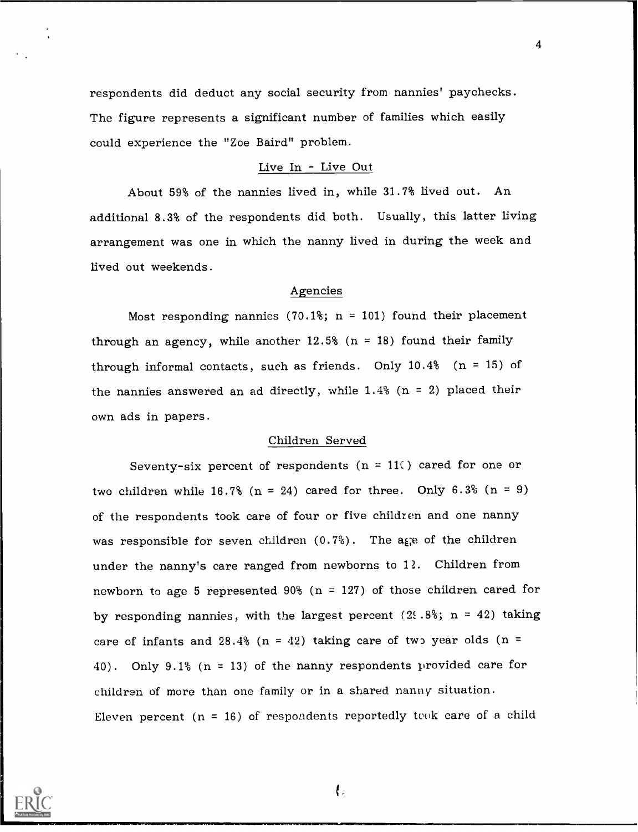respondents did deduct any social security from nannies' paychecks. The figure represents a significant number of families which easily could experience the "Zoe Baird" problem.

#### Live In - Live Out

4

About 59% of the nannies lived in, while 31.7% lived out. An additional 8.3% of the respondents did both. Usually, this latter living arrangement was one in which the nanny lived in during the week and lived out weekends.

#### Agencies

Most responding nannies (70.1%;  $n = 101$ ) found their placement through an agency, while another  $12.5%$  (n = 18) found their family through informal contacts, such as friends. Only  $10.4\%$  (n = 15) of the nannies answered an ad directly, while  $1.4\%$  (n = 2) placed their own ads in papers.

#### Children Served

Seventy-six percent of respondents ( $n = 11$ ) cared for one or two children while  $16.7\%$  (n = 24) cared for three. Only  $6.3\%$  (n = 9) of the respondents took care of four or five childien and one nanny was responsible for seven children  $(0.7%)$ . The age of the children under the nanny's care ranged from newborns to 12. Children from newborn to age 5 represented 90% ( $n = 127$ ) of those children cared for by responding nannies, with the largest percent (2.8%; n = 42) taking care of infants and 28.4% (n = 42) taking care of two year olds (n = 40). Only 9.1% (n = 13) of the nanny respondents provided care for children of more than one family or in a shared nanny situation. Eleven percent  $(n = 16)$  of respondents reportedly took care of a child



 $\mathfrak{f}$ .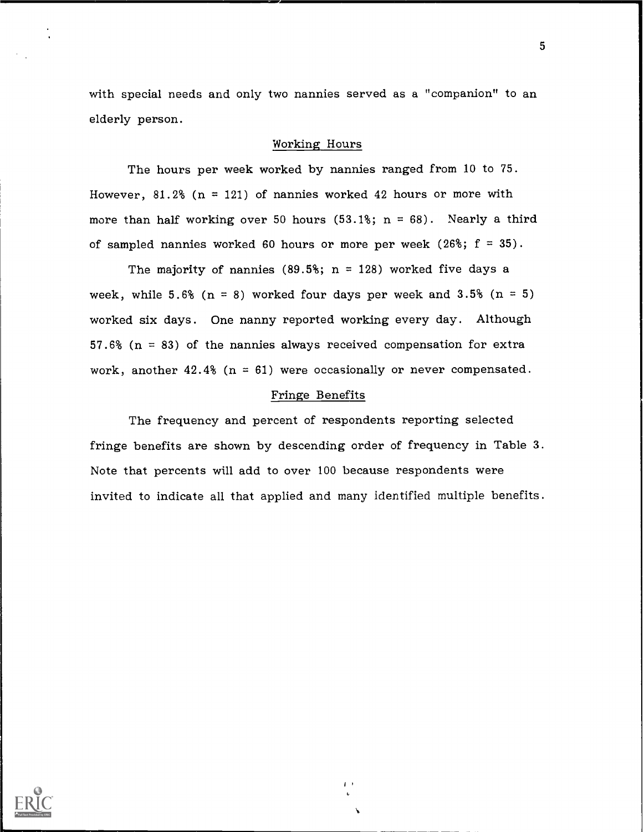with special needs and only two nannies served as a "companion" to an elderly person.

#### Working Hours

The hours per week worked by nannies ranged from 10 to 75. However, 81.2% ( $n = 121$ ) of nannies worked 42 hours or more with more than half working over 50 hours  $(53.1\text{m/s})$ ; n = 68). Nearly a third of sampled nannies worked 60 hours or more per week (26%;  $f = 35$ ).

The majority of nannies (89.5%;  $n = 128$ ) worked five days a week, while 5.6% ( $n = 8$ ) worked four days per week and 3.5% ( $n = 5$ ) worked six days. One nanny reported working every day. Although 57.6% ( $n = 83$ ) of the nannies always received compensation for extra work, another  $42.4\%$  (n = 61) were occasionally or never compensated.

## Fringe Benefits

The frequency and percent of respondents reporting selected fringe benefits are shown by descending order of frequency in Table 3. Note that percents will add to over 100 because respondents were invited to indicate all that applied and many identified multiple benefits.

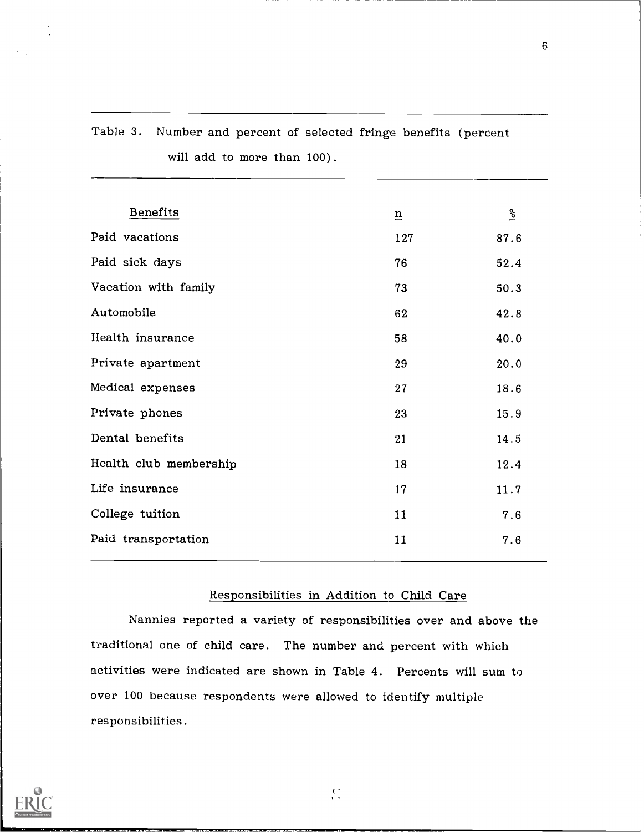| <b>Benefits</b>        | $\underline{n}$ | $\frac{6}{3}$ |
|------------------------|-----------------|---------------|
| Paid vacations         | 127             | 87.6          |
| Paid sick days         | 76              | 52.4          |
| Vacation with family   | 73              | 50.3          |
| Automobile             | 62              | 42.8          |
| Health insurance       | 58              | 40.0          |
| Private apartment      | 29              | 20.0          |
| Medical expenses       | 27              | 18.6          |
| Private phones         | 23              | 15.9          |
| Dental benefits        | 21              | 14.5          |
| Health club membership | 18              | 12.4          |
| Life insurance         | 17              | 11.7          |
| College tuition        | 11              | 7.6           |
| Paid transportation    | 11              | 7.6           |
|                        |                 |               |

# Table 3. Number and percent of selected fringe benefits (percent will add to more than 100) .

# Responsibilities in Addition to Child Care

Nannies reported a variety of responsibilities over and above the traditional one of child care. The number and percent with which activities were indicated are shown in Table 4. Percents will sum to over 100 because respondents were allowed to identify multiple responsibilities .

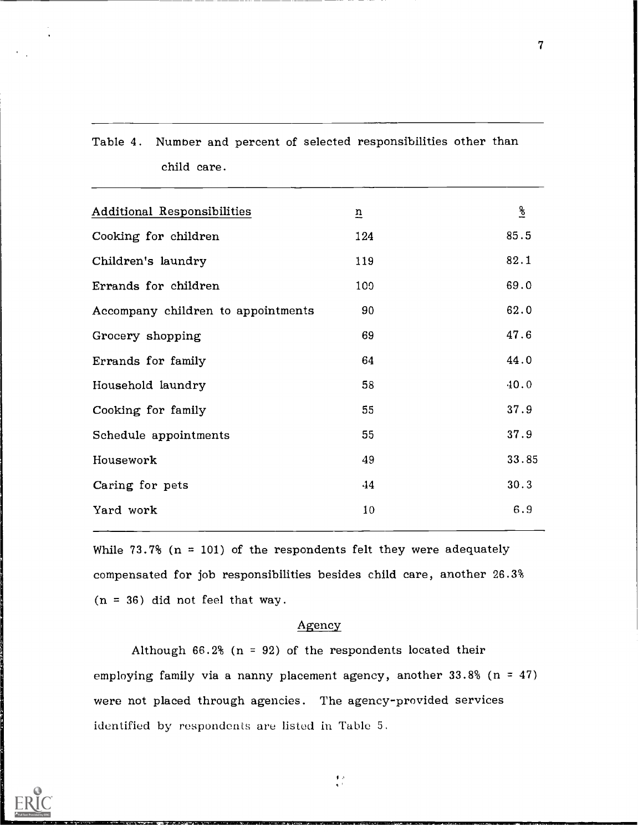| <b>Additional Responsibilities</b> | $\overline{u}$ | $\frac{1}{6}$ |
|------------------------------------|----------------|---------------|
| Cooking for children               | 124            | 85.5          |
| Children's laundry                 | 119            | 82.1          |
| Errands for children               | 109            | 69.0          |
| Accompany children to appointments | 90             | 62.0          |
| Grocery shopping                   | 69             | 47.6          |
| Errands for family                 | 64             | 44.0          |
| Household laundry                  | 58             | 40.0          |
| Cooking for family                 | 55             | 37.9          |
| Schedule appointments              | 55             | 37.9          |
| Housework                          | 49             | 33.85         |
| Caring for pets                    | 44             | 30.3          |
| Yard work                          | 10             | 6.9           |
|                                    |                |               |

Table 4. Number and percent of selected responsibilities other than

child care.

While  $73.7\%$  (n = 101) of the respondents felt they were adequately compensated for job responsibilities besides child care, another 26.3%  $(n = 36)$  did not feel that way.

## Agency

Although  $66.2\%$  (n = 92) of the respondents located their employing family via a nanny placement agency, another  $33.8\%$  (n = 47) were not placed through agencies. The agency-provided services identified by respondents are listed in Table 5.



 $\begin{array}{c} 1/x \\ x^2 \end{array}$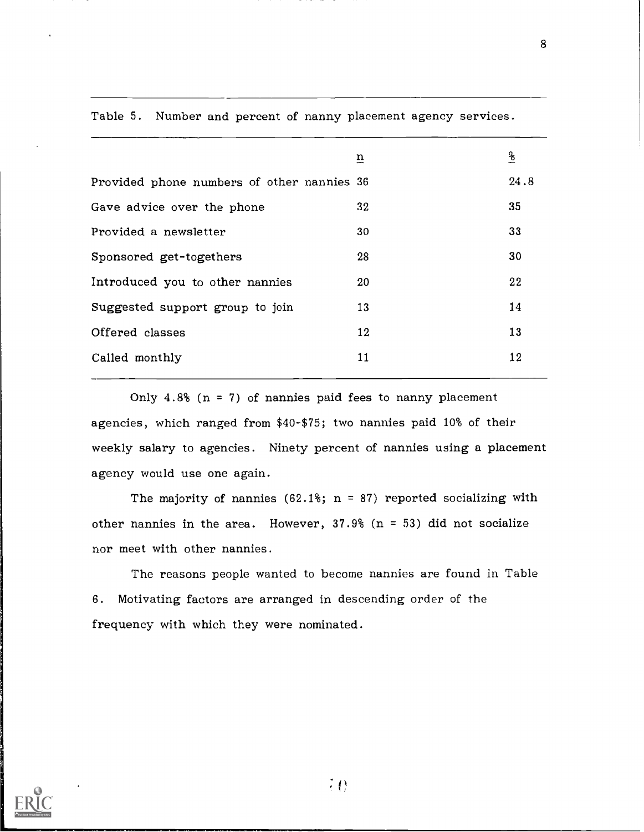|                                            | $\overline{\mathbf{n}}$ | $\frac{8}{6}$ |
|--------------------------------------------|-------------------------|---------------|
| Provided phone numbers of other nannies 36 |                         | 24.8          |
| Gave advice over the phone                 | 32                      | 35            |
| Provided a newsletter                      | 30                      | 33            |
| Sponsored get-togethers                    | 28                      | 30            |
| Introduced you to other nannies            | 20                      | 22            |
| Suggested support group to join            | 13                      | 14            |
| Offered classes                            | 12                      | 13            |
| Called monthly                             | 11                      | 12            |
|                                            |                         |               |

Table 5. Number and percent of nanny placement agency services.

Only  $4.8\%$  (n = 7) of nannies paid fees to nanny placement agencies, which ranged from \$40-\$75; two nannies paid 10% of their weekly salary to agencies. Ninety percent of nannies using a placement agency would use one again.

The majority of nannies  $(62.1\text{m})$ ; n = 87) reported socializing with other nannies in the area. However,  $37.9%$  (n = 53) did not socialize nor meet with other nannies.

The reasons people wanted to become nannies are found in Table 6. Motivating factors are arranged in descending order of the frequency with which they were nominated.

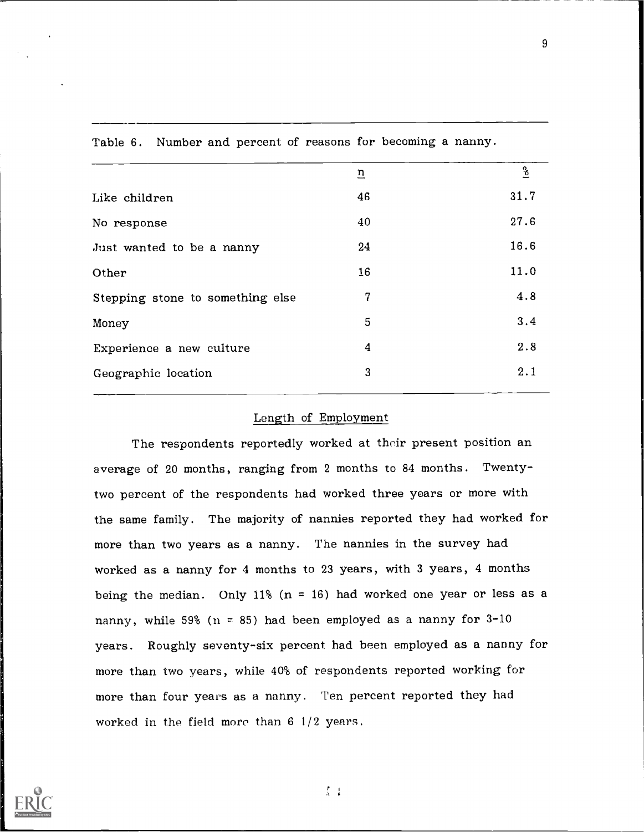|                                  | $\overline{\mathbf{n}}$ | $\frac{6}{5}$ |
|----------------------------------|-------------------------|---------------|
| Like children                    | 46                      | 31.7          |
| No response                      | 40                      | 27.6          |
| Just wanted to be a nanny        | 24                      | 16.6          |
| Other                            | 16                      | 11.0          |
| Stepping stone to something else | 7                       | 4.8           |
| Money                            | 5                       | 3.4           |
| Experience a new culture         | $\boldsymbol{4}$        | 2.8           |
| Geographic location              | 3                       | 2.1           |
|                                  |                         |               |

Table 6. Number and percent of reasons for becoming a nanny.

## Length of Employment

The respondents reportedly worked at their present position an average of 20 months, ranging from 2 months to 84 months. Twentytwo percent of the respondents had worked three years or more with the same family. The majority of nannies reported they had worked for more than two years as a nanny. The nannies in the survey had worked as a nanny for 4 months to 23 years, with 3 years, 4 months being the median. Only 11%  $(n = 16)$  had worked one year or less as a nanny, while 59% ( $n = 85$ ) had been employed as a nanny for 3-10 years. Roughly seventy-six percent had been employed as a nanny for more than two years, while 40% of respondents reported working for more than four years as a nanny. Ten percent reported they had worked in the field more than 6 1/2 years.



rA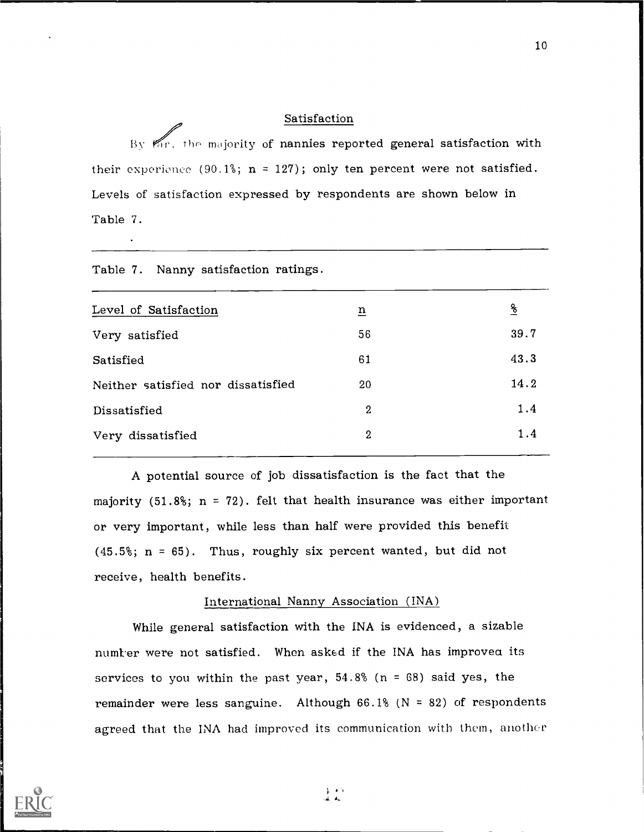## Satisfaction

By the majority of nannies reported general satisfaction with their experience (90.1%;  $n = 127$ ); only ten percent were not satisfied. Levels of satisfaction expressed by respondents are shown below in Table 7.

| Table 7. Nanny satisfaction ratings. |                  |          |  |  |
|--------------------------------------|------------------|----------|--|--|
| Level of Satisfaction                | $\underline{n}$  | <u>%</u> |  |  |
| Very satisfied                       | 56               | 39.7     |  |  |
| Satisfied                            | 61               | 43.3     |  |  |
| Neither satisfied nor dissatisfied   | 20               | 14.2     |  |  |
| Dissatisfied                         | $\boldsymbol{2}$ | 1.4      |  |  |
| Very dissatisfied                    | $\boldsymbol{2}$ | 1.4      |  |  |
|                                      |                  |          |  |  |

A potential source of job dissatisfaction is the fact that the majority (51.8%;  $n = 72$ ). felt that health insurance was either important or very important, while less than half were provided this benefit  $(45.5\text{°}; n = 65)$ . Thus, roughly six percent wanted, but did not receive, health benefits.

## International Nanny Association (INA)

While general satisfaction with the INA is evidenced, a sizable numter were not satisfied. When asked if the INA has improvea its services to you within the past year,  $54.8%$  (n = 68) said yes, the remainder were less sanguine. Although  $66.1%$  (N = 82) of respondents agreed that the INA had improved its communication with them, anothcr

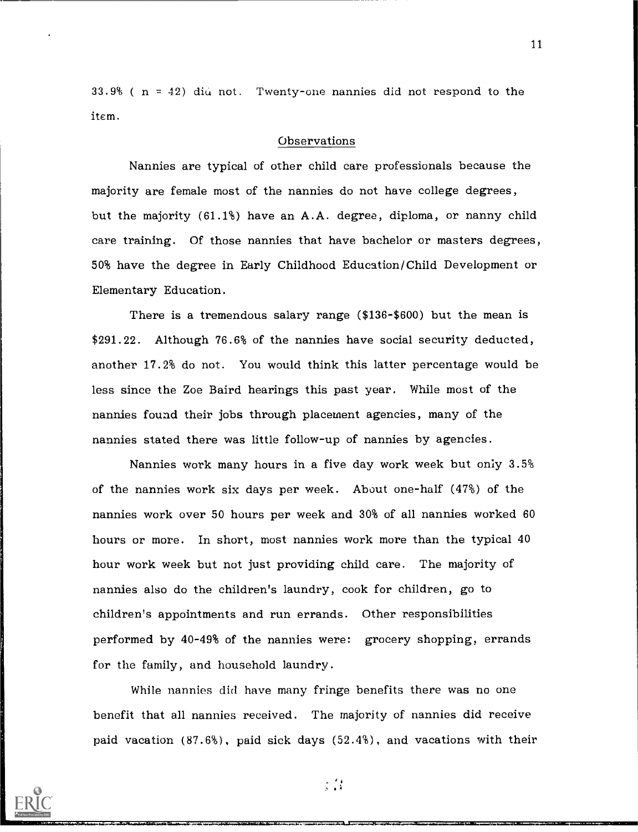$33.9%$  ( n = 42) did not. Twenty-one nannies did not respond to the item.

#### Observations

Nannies are typical of other child care professionals because the majority are female most of the nannies do not have college degrees, but the majority (61.1%) have an A.A. degree, diploma, or nanny child care training. Of those nannies that have bachelor or masters degrees, 50% have the degree in Early Childhood Education/Child Development or Elementary Education.

There is a tremendous salary range (\$136-\$600) but the mean is \$291.22. Although 76.6% of the nannies have social security deducted, another 17.2% do not. You would think this latter percentage would be less since the Zoe Baird hearings this past year. While most of the nannies found their jobs through placement agencies, many of the nannies stated there was little follow-up of nannies by agencies.

Nannies work many hours in a five day work week but only 3.5% of the nannies work six days per week. About one-half (47%) of the nannies work over 50 hours per week and 30% of all nannies worked 60 hours or more. In short, most nannies work more than the typical 40 hour work week but not just providing child care. The majority of nannies also do the children's laundry, cook for children, go to children's appointments and run errands. Other responsibilities performed by 40-49% of the nannies were: grocery shopping, errands for the family, and household laundry.

While nannies did have many fringe benefits there was no one benefit that all nannies received. The majority of nannies did receive paid vacation (87.6%), paid sick days (52.4%), and vacations with their



 $\frac{1}{2}$  ,  $\frac{1}{2}$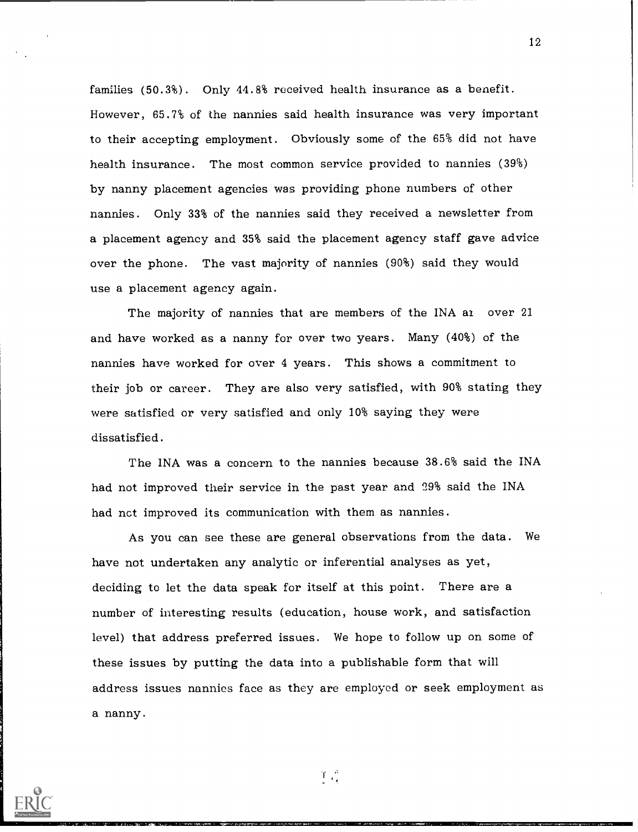families (50.3%). Only 44.8% received health insurance as a benefit. However, 65.7% of the nannies said health insurance was very important to their accepting employment. Obviously some of the 65% did not have health insurance. The most common service provided to nannies (39%) by nanny placement agencies was providing phone numbers of other nannies. Only 33% of the nannies said they received a newsletter from a placement agency and 35% said the placement agency staff gave advice over the phone. The vast majority of nannies (90%) said they would use a placement agency again.

The majority of nannies that are members of the INA ai over 21 and have worked as a nanny for over two years. Many (40%) of the nannies have worked for over 4 years. This shows a commitment to their job or career. They are also very satisfied, with 90% stating they were satisfied or very satisfied and only 10% saying they were dissatisfied.

The INA was a concern to the nannies because 38.6% said the INA had not improved their service in the past year and 29% said the INA had nct improved its communication with them as nannies.

As you can see these are general observations from the data. We have not undertaken any analytic or inferential analyses as yet, deciding to let the data speak for itself at this point. There are a number of interesting results (education, house work, and satisfaction level) that address preferred issues. We hope to follow up on some of these issues by putting the data into a publishable form that will address issues nannies face as they are employed or seek employment as a nanny.



 $T_{\alpha}$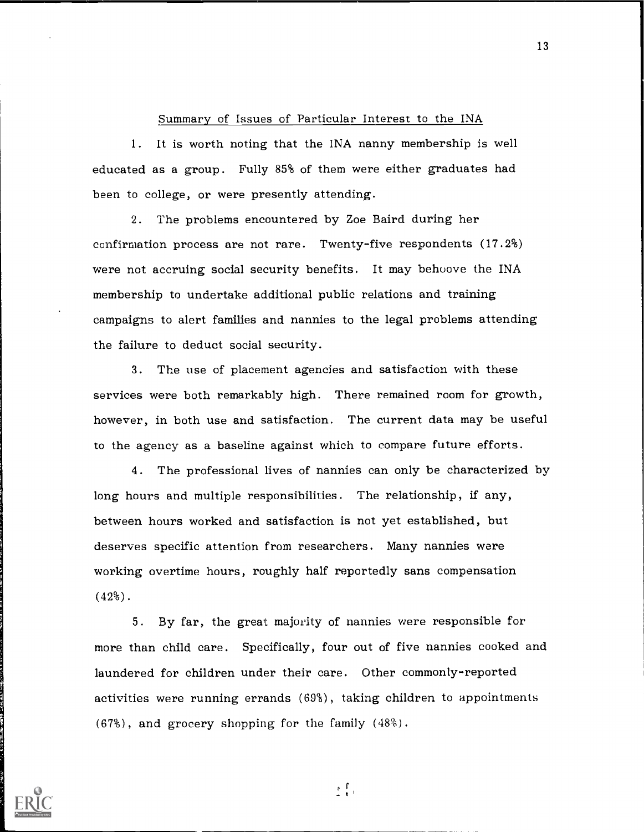### Summary of Issues of Particular Interest to the INA

1. It is worth noting that the INA nanny membership is well educated as a group. Fully 85% of them were either graduates had been to college, or were presently attending.

2. The problems encountered by Zoe Baird during her confirmation process are not rare. Twenty-five respondents (17.2%) were not accruing social security benefits. It may behoove the INA membership to undertake additional public relations and training campaigns to alert families and nannies to the legal problems attending the failure to deduct social security.

3. The use of placement agencies and satisfaction with these services were both remarkably high. There remained room for growth, however, in both use and satisfaction. The current data may be useful to the agency as a baseline against which to compare future efforts.

4. The professional lives of nannies can only be characterized by long hours and multiple responsibilities. The relationship, if any, between hours worked and satisfaction is not yet established, but deserves specific attention from researchers. Many nannies were working overtime hours, roughly half reportedly sans compensation (42%).

5. By far, the great majovity of nannies were responsible for more than child care. Specifically, four out of five nannies cooked and laundered for children under their care. Other commonly-reported activities were running errands (69%), taking children to appointments (67%), and grocery shopping for the family (48%).



고루고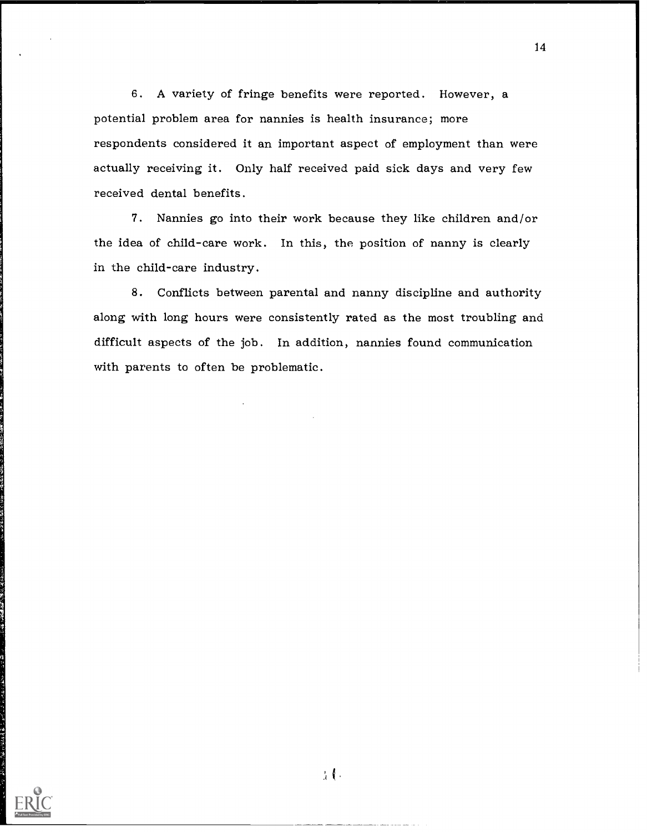6. A variety of fringe benefits were reported. However, a potential problem area for nannies is health insurance; more respondents considered it an important aspect of employment than were actually receiving it. Only half received paid sick days and very few received dental benefits.

7. Nannies go into their work because they like children and/or the idea of child-care work. In this, the position of nanny is clearly in the child-care industry.

8. Conflicts between parental and nanny discipline and authority along with long hours were consistently rated as the most troubling and difficult aspects of the job. In addition, nannies found communication with parents to often be problematic.



 $\lambda$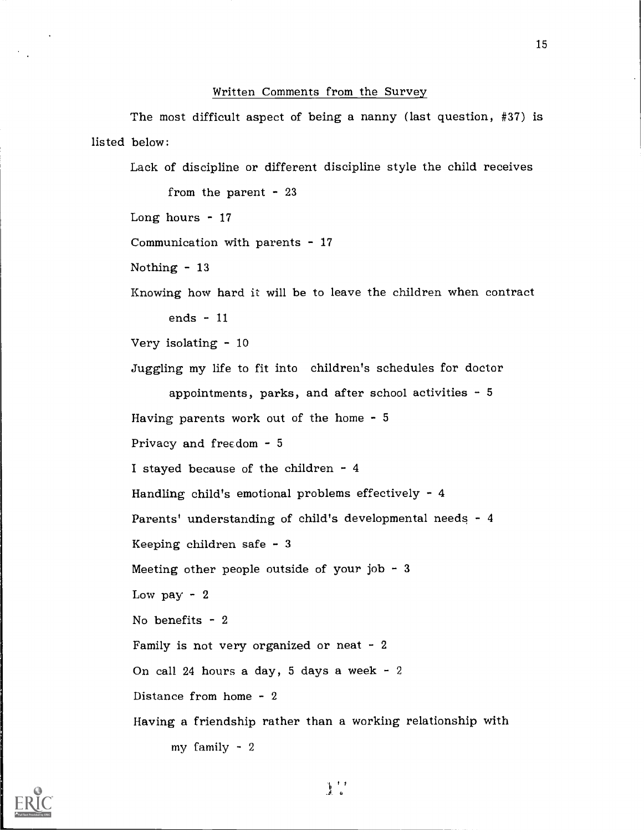#### Written Comments from the Survey

The most difficult aspect of being a nanny (last question, #37) is listed below:

Lack of discipline or different discipline style the child receives

from the parent - 23 Long hours  $-17$ Communication with parents  $-17$ Nothing - 13 Knowing how hard it will be to leave the children when contract ends - 11 Very isolating - 10 Juggling my life to fit into children's schedules for doctor appointments, parks, and after school activities  $-5$ Having parents work out of the home - 5 Privacy and frecdom - 5 I stayed because of the children - 4 Handling child's emotional problems effectively - 4 Parents' understanding of child's developmental needs - 4 Keeping children safe - 3 Meeting other people outside of your job - 3 Low pay  $-2$ No benefits - 2 Family is not very organized or neat  $-2$ On call 24 hours a day, 5 days a week - 2 Distance from home - 2 Having a friendship rather than a working relationship with my family - 2

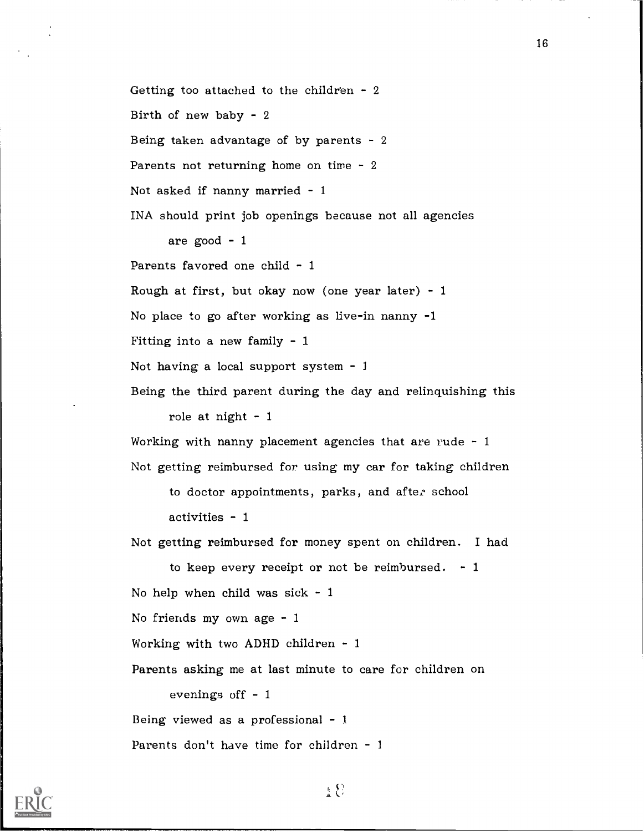Getting too attached to the children  $-2$ Birth of new baby - 2 Being taken advantage of by parents - 2 Parents not returning home on time - 2 Not asked if nanny married - 1 INA should print job openings because not all agencies are good - 1 Parents favored one child - 1 Rough at first, but okay now (one year later)  $-1$ No place to go after working as live-in nanny -1 Fitting into a new family  $-1$ Not having a local support system  $-1$ Being the third parent during the day and relinquishing this role at night  $-1$ Working with nanny placement agencies that are rude - <sup>1</sup> Not getting reimbursed for using my car for taking children to doctor appointments, parks, and after school activities - 1 Not getting reimbursed for money spent on children. I had to keep every receipt or not be reimbursed.  $-1$ 

16

No help when child was sick - 1

No friends my own age - 1

Working with two ADHD children - 1

Parents asking me at last minute to care for children on

evenings off  $-1$ 

Being viewed as a professional - 1

Parents don't have time for children - <sup>1</sup>

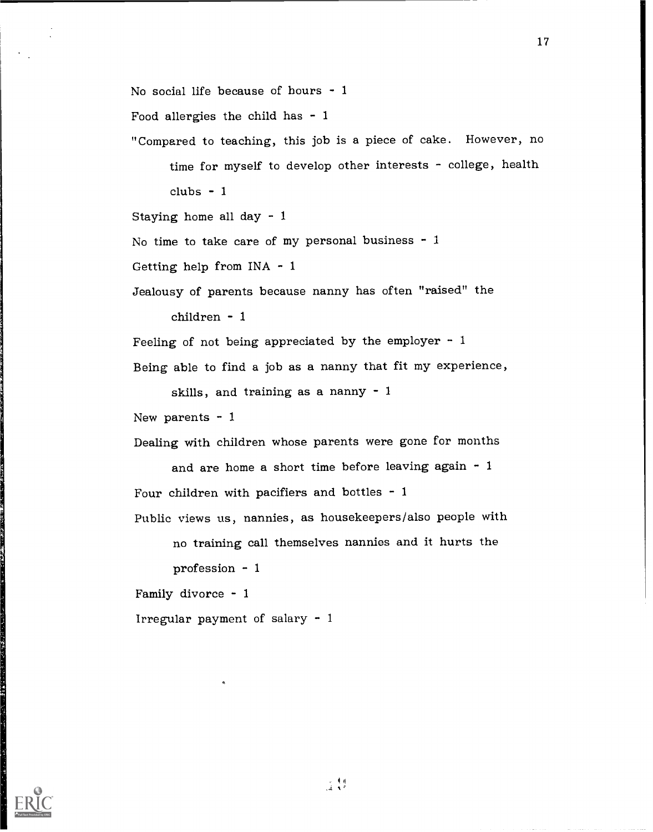No social life because of hours - <sup>1</sup> Food allergies the child has  $-1$ "Compared to teaching, this job is a piece of cake. However, no time for myself to develop other interests - college, health  $clubs - 1$ Staying home all day - 1 No time to take care of my personal business  $-1$ Getting help from  $INA - 1$ Jealousy of parents because nanny has often "raised" the children - 1 Feeling of not being appreciated by the employer  $-1$ Being able to find a job as a nanny that fit my experience, skills, and training as a nanny - 1 New parents  $-1$ Dealing with children whose parents were gone for months and are home a short time before leaving again - 1 Four children with pacifiers and bottles  $-1$ Public views us, nannies, as housekeepers/also people with no training call themselves nannies and it hurts the profession - 1 Family divorce - <sup>1</sup> Irregular payment of salary - <sup>1</sup>

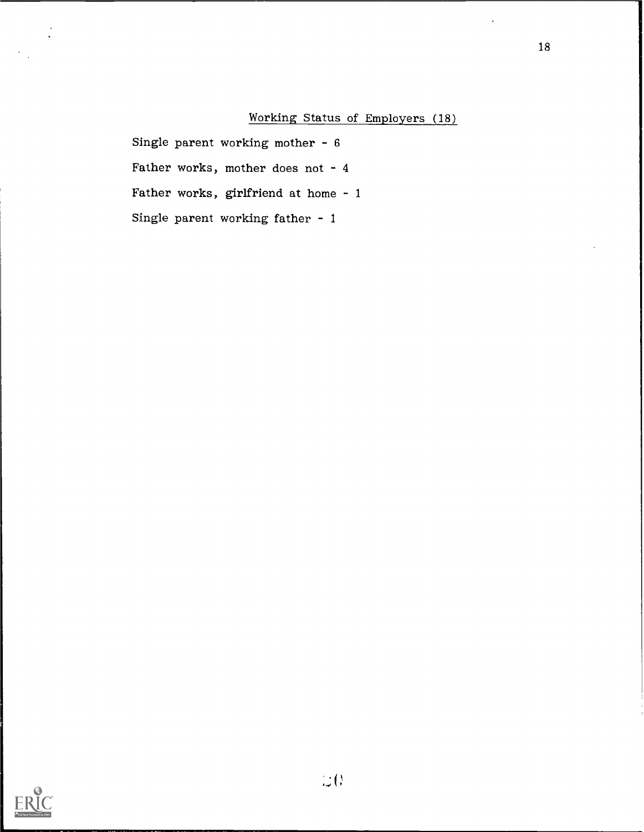# Working Status of Employers (18)

Single parent working mother - 6 Father works, mother does not - 4 Father works, girlfriend at home - 1 Single parent working father - 1

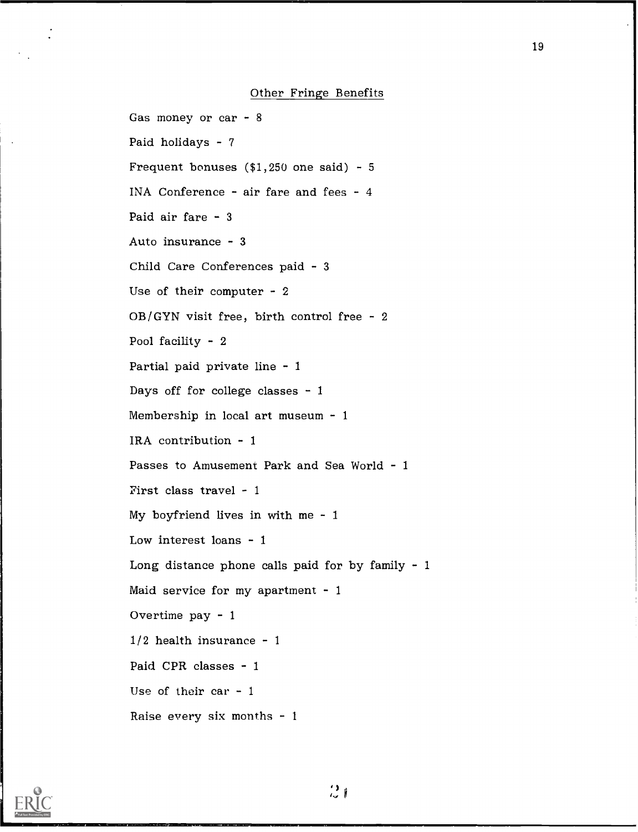Gas money or car - 8 Paid holidays  $-7$ Frequent bonuses  $($1,250$  one said) - 5 INA Conference - air fare and fees - 4 Paid air fare - 3 Auto insurance - 3 Child Care Conferences paid - 3 Use of their computer - 2  $OB/GYN$  visit free, birth control free - 2 Pool facility - 2 Partial paid private line - 1 Days off for college classes  $-1$ Membership in local art museum - 1 IRA contribution - 1 Passes to Amusement Park and Sea World - 1 First class travel - I My boyfriend lives in with me - 1 Low interest loans - 1 Long distance phone calls paid for by family  $-1$ Maid service for my apartment  $-1$ Overtime pay - <sup>1</sup>  $1/2$  health insurance - 1 Paid CPR classes - 1 Use of their car  $-1$ Raise every six months - <sup>1</sup>

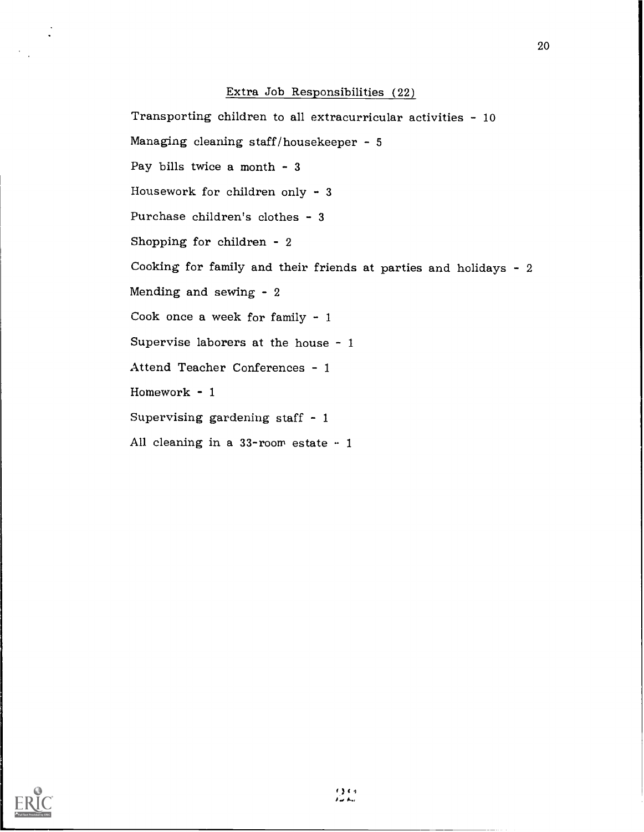# Extra Job Responsibilities (22)

Transporting children to all extracurricular activities - 10 Managing cleaning staff/housekeeper - 5 Pay bills twice a month  $-3$ Housework for children only - 3 Purchase children's clothes - 3 Shopping for children - 2 Cooking for family and their friends at parties and holidays - 2 Mending and sewing - 2 Cook once a week for family - 1 Supervise laborers at the house - 1 Attend Teacher Conferences - 1 Homework - 1 Supervising gardening staff - 1 All cleaning in a  $33$ -room estate  $-1$ 

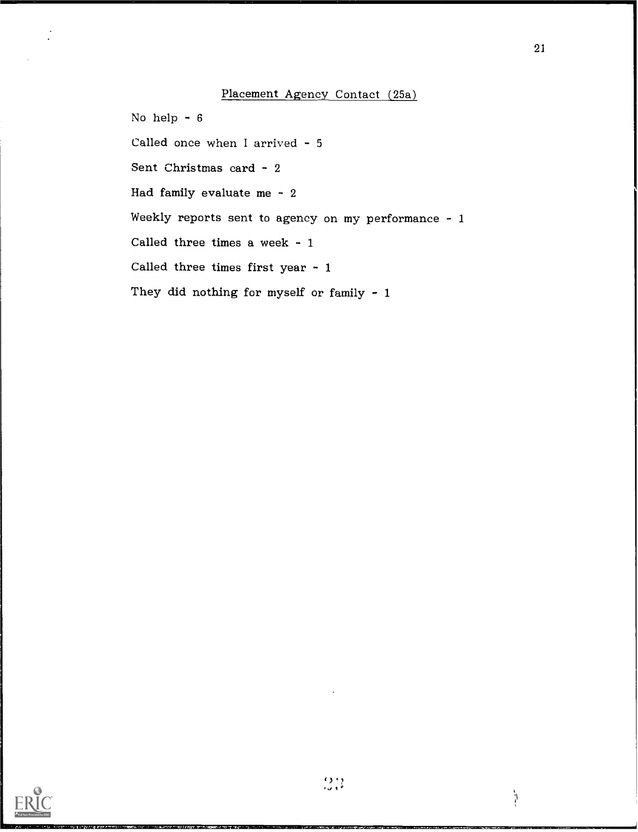# Placement Agency Contact (25a)

No help - 6

Called once when I arrived - 5

Sent Christmas card - 2

Had family evaluate me - 2

Weekly reports sent to agency on my performance  $-1$ 

Called three times a week - 1

Called three times first year - 1

They did nothing for myself or family - 1



21

.<br>ا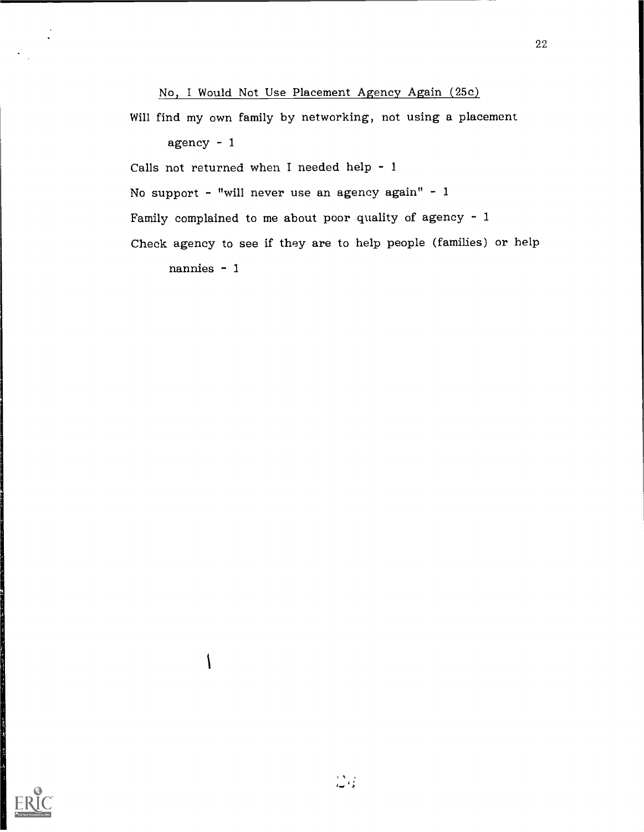No, I Would Not Use Placement Agency Again (25c)

Will find my own family by networking, not using a placement

agency  $-1$ 

Calls not returned when I needed help - <sup>1</sup>

No support - "will never use an agency again" - 1

Family complained to me about poor quality of agency - <sup>1</sup>

Check agency to see if they are to help people (families) or help

nannies - 1

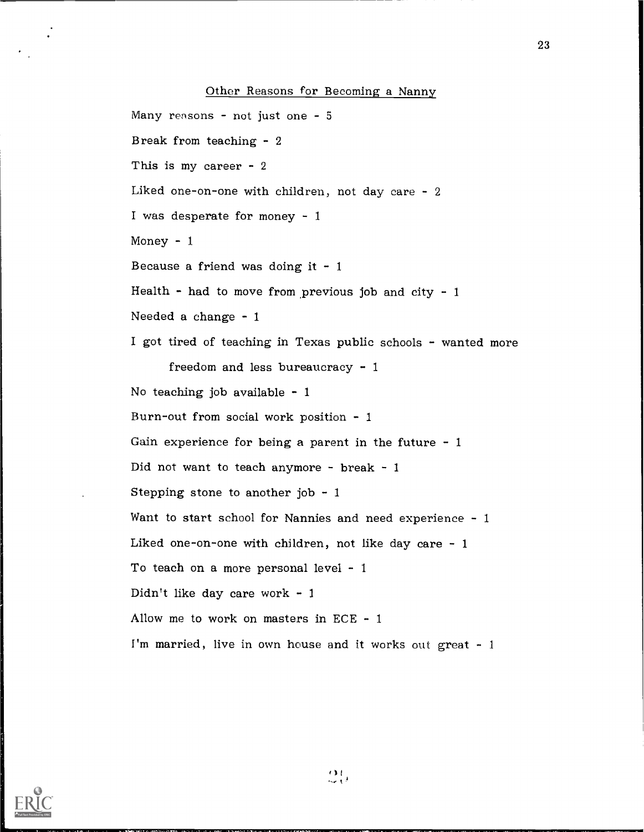Other Reasons for Becoming a Nanny

Many reasons - not just one -  $5$ Break from teaching - 2 This is my career - 2 Liked one-on-one with children, not day care - 2 I was desperate for money - 1 Money  $-1$ Because a friend was doing it  $-1$ Health - had to move from previous job and city -  $1$ Needed a change - 1 I got tired of teaching in Texas public schools - wanted more freedom and less bureaucracy - 1 No teaching job available  $-1$ Burn-out from social work position - 1 Gain experience for being a parent in the future  $-1$ Did not want to teach anymore - break - 1 Stepping stone to another job  $-1$ Want to start school for Nannies and need experience - 1 Liked one-on-one with children, not like day care - 1 To teach on a more personal level - 1 Didn't like day care work - 1 Allow me to work on masters in ECE - <sup>1</sup> I'm married, live in own house and it works out great  $-1$